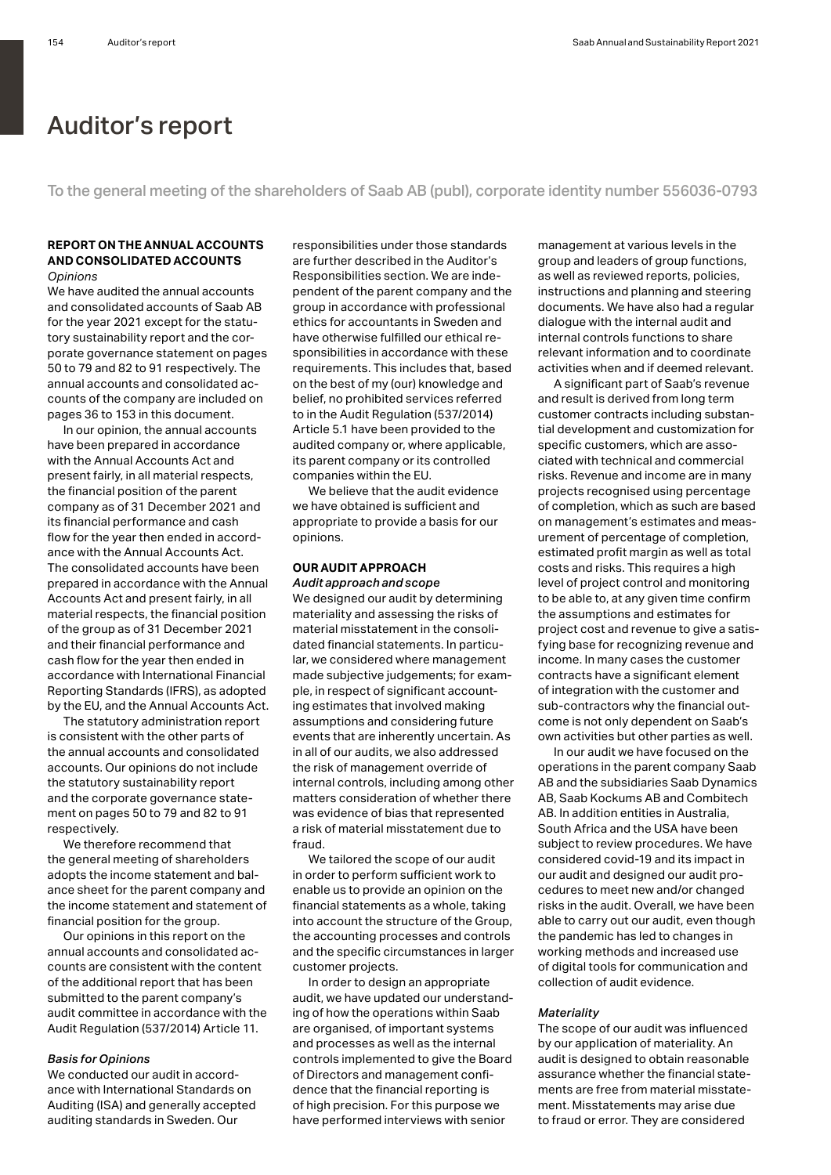# Auditor's report

To the general meeting of the shareholders of Saab AB (publ), corporate identity number 556036-0793

# **REPORT ON THE ANNUAL ACCOUNTS AND CONSOLIDATED ACCOUNTS** *Opinions*

We have audited the annual accounts. and consolidated accounts of Saab AB for the year 2021 except for the statutory sustainability report and the corporate governance statement on pages 50 to 79 and 82 to 91 respectively. The annual accounts and consolidated accounts of the company are included on pages 36 to 153 in this document.

In our opinion, the annual accounts have been prepared in accordance with the Annual Accounts Act and present fairly, in all material respects, the financial position of the parent company as of 31 December 2021 and its financial performance and cash flow for the year then ended in accordance with the Annual Accounts Act. The consolidated accounts have been prepared in accordance with the Annual Accounts Act and present fairly, in all material respects, the financial position of the group as of 31 December 2021 and their financial performance and cash flow for the year then ended in accordance with International Financial Reporting Standards (IFRS), as adopted by the EU, and the Annual Accounts Act.

The statutory administration report is consistent with the other parts of the annual accounts and consolidated accounts. Our opinions do not include the statutory sustainability report and the corporate governance statement on pages 50 to 79 and 82 to 91 respectively.

We therefore recommend that the general meeting of shareholders adopts the income statement and balance sheet for the parent company and the income statement and statement of financial position for the group.

Our opinions in this report on the annual accounts and consolidated accounts are consistent with the content of the additional report that has been submitted to the parent company's audit committee in accordance with the Audit Regulation (537/2014) Article 11.

# *Basis for Opinions*

We conducted our audit in accordance with International Standards on Auditing (ISA) and generally accepted auditing standards in Sweden. Our

responsibilities under those standards are further described in the Auditor's Responsibilities section. We are independent of the parent company and the group in accordance with professional ethics for accountants in Sweden and have otherwise fulfilled our ethical responsibilities in accordance with these requirements. This includes that, based on the best of my (our) knowledge and belief, no prohibited services referred to in the Audit Regulation (537/2014) Article 5.1 have been provided to the audited company or, where applicable, its parent company or its controlled companies within the EU.

We believe that the audit evidence we have obtained is sufficient and appropriate to provide a basis for our opinions.

# **OUR AUDIT APPROACH** *Audit approach and scope*

We designed our audit by determining materiality and assessing the risks of material misstatement in the consolidated financial statements. In particular, we considered where management made subjective judgements; for example, in respect of significant accounting estimates that involved making assumptions and considering future events that are inherently uncertain. As in all of our audits, we also addressed the risk of management override of internal controls, including among other matters consideration of whether there was evidence of bias that represented a risk of material misstatement due to fraud.

We tailored the scope of our audit in order to perform sufficient work to enable us to provide an opinion on the financial statements as a whole, taking into account the structure of the Group, the accounting processes and controls and the specific circumstances in larger customer projects.

In order to design an appropriate audit, we have updated our understanding of how the operations within Saab are organised, of important systems and processes as well as the internal controls implemented to give the Board of Directors and management confidence that the financial reporting is of high precision. For this purpose we have performed interviews with senior

management at various levels in the group and leaders of group functions, as well as reviewed reports, policies, instructions and planning and steering documents. We have also had a regular dialogue with the internal audit and internal controls functions to share relevant information and to coordinate activities when and if deemed relevant.

A significant part of Saab's revenue and result is derived from long term customer contracts including substantial development and customization for specific customers, which are associated with technical and commercial risks. Revenue and income are in many projects recognised using percentage of completion, which as such are based on management's estimates and measurement of percentage of completion, estimated profit margin as well as total costs and risks. This requires a high level of project control and monitoring to be able to, at any given time confirm the assumptions and estimates for project cost and revenue to give a satisfying base for recognizing revenue and income. In many cases the customer contracts have a significant element of integration with the customer and sub-contractors why the financial outcome is not only dependent on Saab's own activities but other parties as well.

In our audit we have focused on the operations in the parent company Saab AB and the subsidiaries Saab Dynamics AB, Saab Kockums AB and Combitech AB. In addition entities in Australia, South Africa and the USA have been subject to review procedures. We have considered covid-19 and its impact in our audit and designed our audit procedures to meet new and/or changed risks in the audit. Overall, we have been able to carry out our audit, even though the pandemic has led to changes in working methods and increased use of digital tools for communication and collection of audit evidence.

# *Materiality*

The scope of our audit was influenced by our application of materiality. An audit is designed to obtain reasonable assurance whether the financial statements are free from material misstatement. Misstatements may arise due to fraud or error. They are considered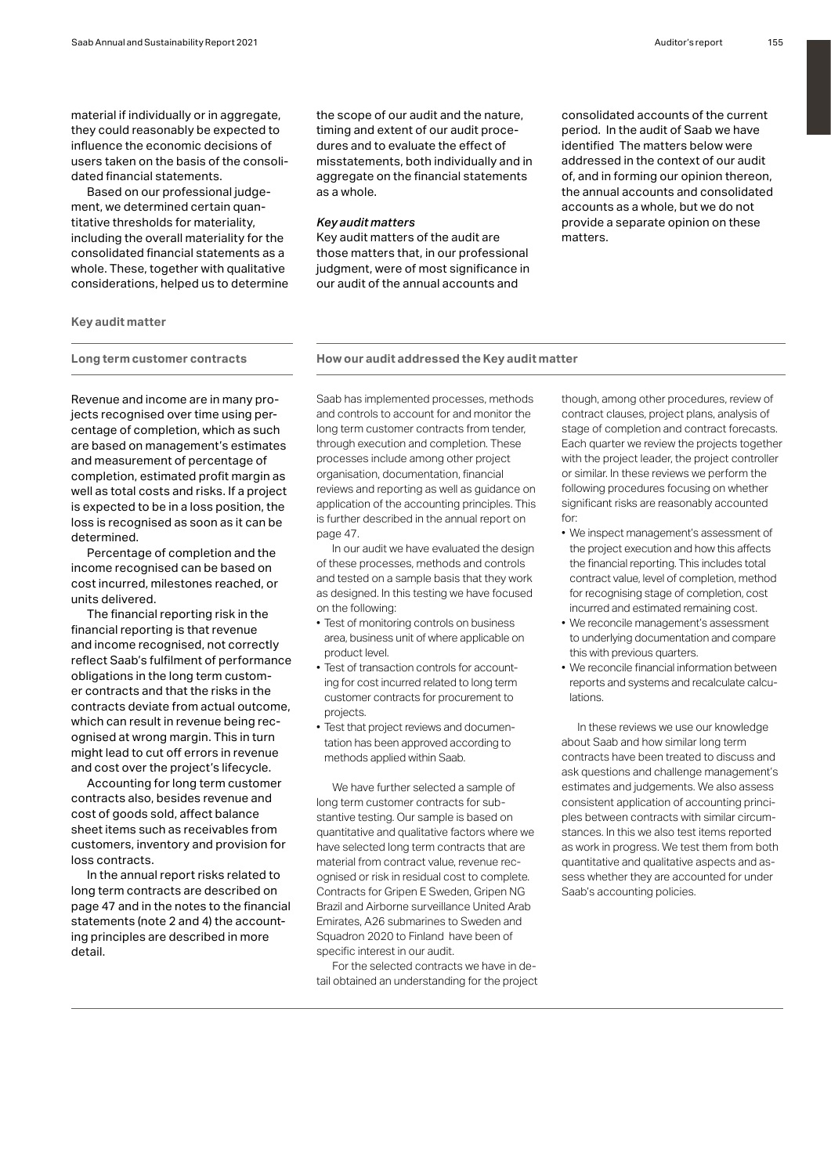material if individually or in aggregate, they could reasonably be expected to influence the economic decisions of users taken on the basis of the consolidated financial statements.

Based on our professional judgement, we determined certain quantitative thresholds for materiality, including the overall materiality for the consolidated financial statements as a whole. These, together with qualitative considerations, helped us to determine the scope of our audit and the nature, timing and extent of our audit procedures and to evaluate the effect of misstatements, both individually and in aggregate on the financial statements as a whole.

# *Key audit matters*

Key audit matters of the audit are those matters that, in our professional judgment, were of most significance in our audit of the annual accounts and

consolidated accounts of the current period. In the audit of Saab we have identified The matters below were addressed in the context of our audit of, and in forming our opinion thereon, the annual accounts and consolidated accounts as a whole, but we do not provide a separate opinion on these matters.

# **Key audit matter**

# **Long term customer contracts How our audit addressed the Key audit matter**

Revenue and income are in many projects recognised over time using percentage of completion, which as such are based on management's estimates and measurement of percentage of completion, estimated profit margin as well as total costs and risks. If a project is expected to be in a loss position, the loss is recognised as soon as it can be determined.

Percentage of completion and the income recognised can be based on cost incurred, milestones reached, or units delivered.

The financial reporting risk in the financial reporting is that revenue and income recognised, not correctly reflect Saab's fulfilment of performance obligations in the long term customer contracts and that the risks in the contracts deviate from actual outcome, which can result in revenue being recognised at wrong margin. This in turn might lead to cut off errors in revenue and cost over the project's lifecycle.

Accounting for long term customer contracts also, besides revenue and cost of goods sold, affect balance sheet items such as receivables from customers, inventory and provision for loss contracts.

In the annual report risks related to long term contracts are described on page 47 and in the notes to the financial statements (note 2 and 4) the accounting principles are described in more detail.

Saab has implemented processes, methods and controls to account for and monitor the long term customer contracts from tender, through execution and completion. These processes include among other project organisation, documentation, financial reviews and reporting as well as guidance on application of the accounting principles. This is further described in the annual report on page 47.

In our audit we have evaluated the design of these processes, methods and controls and tested on a sample basis that they work as designed. In this testing we have focused on the following:

- Test of monitoring controls on business area, business unit of where applicable on product level.
- Test of transaction controls for accounting for cost incurred related to long term customer contracts for procurement to projects.
- Test that project reviews and documentation has been approved according to methods applied within Saab.

We have further selected a sample of long term customer contracts for substantive testing. Our sample is based on quantitative and qualitative factors where we have selected long term contracts that are material from contract value, revenue recognised or risk in residual cost to complete. Contracts for Gripen E Sweden, Gripen NG Brazil and Airborne surveillance United Arab Emirates, A26 submarines to Sweden and Squadron 2020 to Finland have been of specific interest in our audit.

For the selected contracts we have in detail obtained an understanding for the project though, among other procedures, review of contract clauses, project plans, analysis of stage of completion and contract forecasts. Each quarter we review the projects together with the project leader, the project controller or similar. In these reviews we perform the following procedures focusing on whether significant risks are reasonably accounted for:

- We inspect management's assessment of the project execution and how this affects the financial reporting. This includes total contract value, level of completion, method for recognising stage of completion, cost incurred and estimated remaining cost.
- We reconcile management's assessment to underlying documentation and compare this with previous quarters.
- We reconcile financial information between reports and systems and recalculate calculations.

In these reviews we use our knowledge about Saab and how similar long term contracts have been treated to discuss and ask questions and challenge management's estimates and judgements. We also assess consistent application of accounting principles between contracts with similar circumstances. In this we also test items reported as work in progress. We test them from both quantitative and qualitative aspects and assess whether they are accounted for under Saab's accounting policies.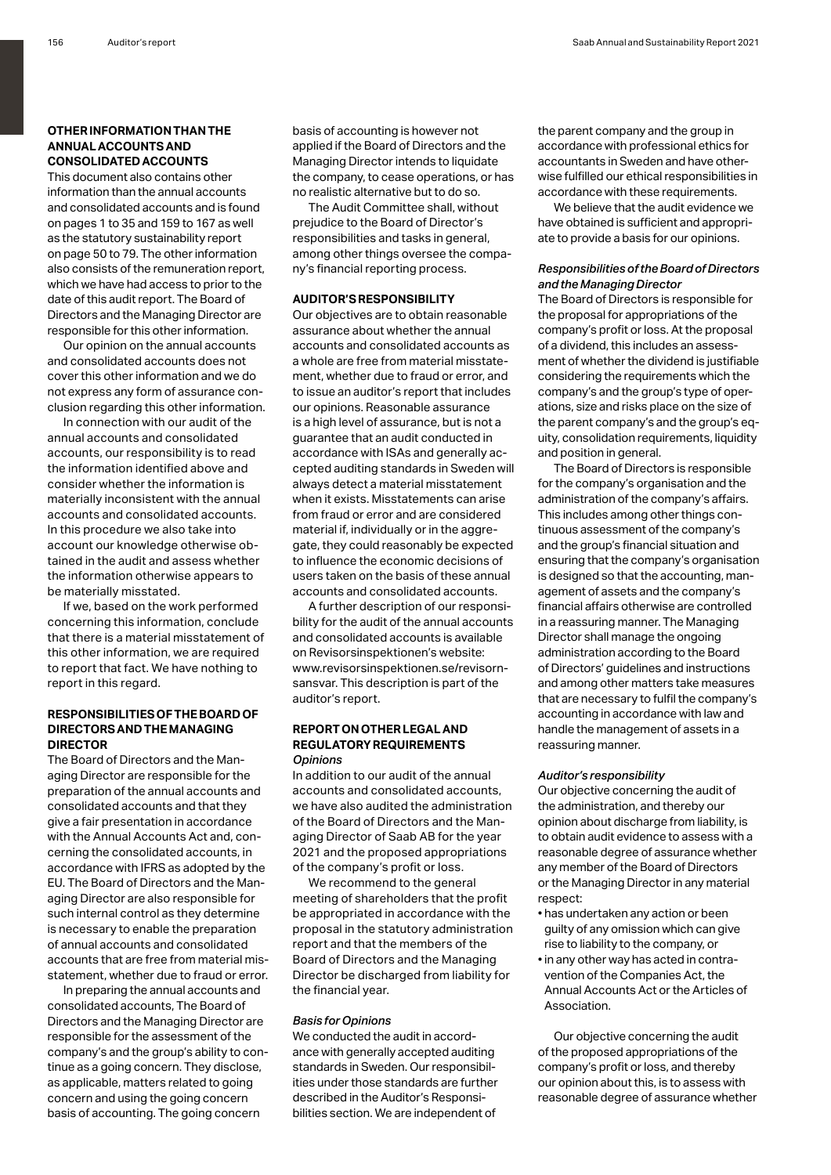# **OTHER INFORMATION THAN THE ANNUAL ACCOUNTS AND CONSOLIDATED ACCOUNTS**

This document also contains other information than the annual accounts and consolidated accounts and is found on pages 1 to 35 and 159 to 167 as well as the statutory sustainability report on page 50 to 79. The other information also consists of the remuneration report, which we have had access to prior to the date of this audit report. The Board of Directors and the Managing Director are responsible for this other information.

Our opinion on the annual accounts and consolidated accounts does not cover this other information and we do not express any form of assurance conclusion regarding this other information.

In connection with our audit of the annual accounts and consolidated accounts, our responsibility is to read the information identified above and consider whether the information is materially inconsistent with the annual accounts and consolidated accounts. In this procedure we also take into account our knowledge otherwise obtained in the audit and assess whether the information otherwise appears to be materially misstated.

If we, based on the work performed concerning this information, conclude that there is a material misstatement of this other information, we are required to report that fact. We have nothing to report in this regard.

# **RESPONSIBILITIES OF THE BOARD OF DIRECTORS AND THE MANAGING DIRECTOR**

The Board of Directors and the Managing Director are responsible for the preparation of the annual accounts and consolidated accounts and that they give a fair presentation in accordance with the Annual Accounts Act and, concerning the consolidated accounts, in accordance with IFRS as adopted by the EU. The Board of Directors and the Managing Director are also responsible for such internal control as they determine is necessary to enable the preparation of annual accounts and consolidated accounts that are free from material misstatement, whether due to fraud or error.

In preparing the annual accounts and consolidated accounts, The Board of Directors and the Managing Director are responsible for the assessment of the company's and the group's ability to continue as a going concern. They disclose, as applicable, matters related to going concern and using the going concern basis of accounting. The going concern

basis of accounting is however not applied if the Board of Directors and the Managing Director intends to liquidate the company, to cease operations, or has no realistic alternative but to do so.

The Audit Committee shall, without prejudice to the Board of Director's responsibilities and tasks in general, among other things oversee the company's financial reporting process.

# **AUDITOR'S RESPONSIBILITY**

Our objectives are to obtain reasonable assurance about whether the annual accounts and consolidated accounts as a whole are free from material misstatement, whether due to fraud or error, and to issue an auditor's report that includes our opinions. Reasonable assurance is a high level of assurance, but is not a guarantee that an audit conducted in accordance with ISAs and generally accepted auditing standards in Sweden will always detect a material misstatement when it exists. Misstatements can arise from fraud or error and are considered material if, individually or in the aggregate, they could reasonably be expected to influence the economic decisions of users taken on the basis of these annual accounts and consolidated accounts.

A further description of our responsibility for the audit of the annual accounts and consolidated accounts is available on Revisorsinspektionen's website: www.revisorsinspektionen.se/revisornsansvar. This description is part of the auditor's report.

# **REPORT ON OTHER LEGAL AND REGULATORY REQUIREMENTS** *Opinions*

In addition to our audit of the annual accounts and consolidated accounts, we have also audited the administration of the Board of Directors and the Managing Director of Saab AB for the year 2021 and the proposed appropriations of the company's profit or loss.

We recommend to the general meeting of shareholders that the profit be appropriated in accordance with the proposal in the statutory administration report and that the members of the Board of Directors and the Managing Director be discharged from liability for the financial year.

#### *Basis for Opinions*

We conducted the audit in accordance with generally accepted auditing standards in Sweden. Our responsibilities under those standards are further described in the Auditor's Responsibilities section. We are independent of

the parent company and the group in accordance with professional ethics for accountants in Sweden and have otherwise fulfilled our ethical responsibilities in accordance with these requirements.

We believe that the audit evidence we have obtained is sufficient and appropriate to provide a basis for our opinions.

# *Responsibilities of the Board of Directors and the Managing Director*

The Board of Directors is responsible for the proposal for appropriations of the company's profit or loss. At the proposal of a dividend, this includes an assessment of whether the dividend is justifiable considering the requirements which the company's and the group's type of operations, size and risks place on the size of the parent company's and the group's equity, consolidation requirements, liquidity and position in general.

The Board of Directors is responsible for the company's organisation and the administration of the company's affairs. This includes among other things continuous assessment of the company's and the group's financial situation and ensuring that the company's organisation is designed so that the accounting, management of assets and the company's financial affairs otherwise are controlled in a reassuring manner. The Managing Director shall manage the ongoing administration according to the Board of Directors' guidelines and instructions and among other matters take measures that are necessary to fulfil the company's accounting in accordance with law and handle the management of assets in a reassuring manner.

#### *Auditor's responsibility*

Our objective concerning the audit of the administration, and thereby our opinion about discharge from liability, is to obtain audit evidence to assess with a reasonable degree of assurance whether any member of the Board of Directors or the Managing Director in any material respect:

- has undertaken any action or been guilty of any omission which can give rise to liability to the company, or
- in any other way has acted in contravention of the Companies Act, the Annual Accounts Act or the Articles of Association.

Our objective concerning the audit of the proposed appropriations of the company's profit or loss, and thereby our opinion about this, is to assess with reasonable degree of assurance whether